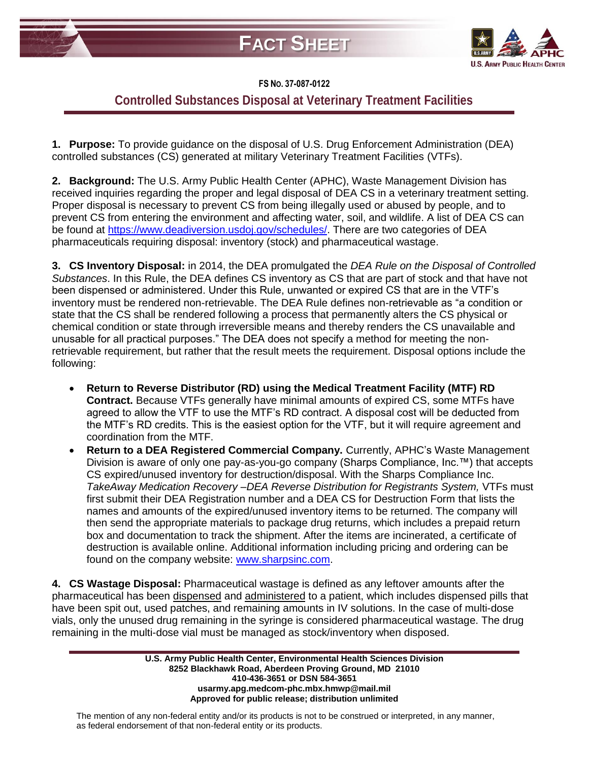



## **FS NO. 37-087-0122**

## **Controlled Substances Disposal at Veterinary Treatment Facilities**

**1. Purpose:** To provide guidance on the disposal of U.S. Drug Enforcement Administration (DEA) controlled substances (CS) generated at military Veterinary Treatment Facilities (VTFs).

**2. Background:** The U.S. Army Public Health Center (APHC), Waste Management Division has received inquiries regarding the proper and legal disposal of DEA CS in a veterinary treatment setting. Proper disposal is necessary to prevent CS from being illegally used or abused by people, and to prevent CS from entering the environment and affecting water, soil, and wildlife. A list of DEA CS can be found at [https://www.deadiversion.usdoj.gov/schedules/.](https://www.deadiversion.usdoj.gov/schedules/) There are two categories of DEA pharmaceuticals requiring disposal: inventory (stock) and pharmaceutical wastage.

**3. CS Inventory Disposal:** in 2014, the DEA promulgated the *DEA Rule on the Disposal of Controlled Substances*. In this Rule, the DEA defines CS inventory as CS that are part of stock and that have not been dispensed or administered. Under this Rule, unwanted or expired CS that are in the VTF's inventory must be rendered non-retrievable. The DEA Rule defines non-retrievable as "a condition or state that the CS shall be rendered following a process that permanently alters the CS physical or chemical condition or state through irreversible means and thereby renders the CS unavailable and unusable for all practical purposes." The DEA does not specify a method for meeting the nonretrievable requirement, but rather that the result meets the requirement. Disposal options include the following:

- **Return to Reverse Distributor (RD) using the Medical Treatment Facility (MTF) RD Contract.** Because VTFs generally have minimal amounts of expired CS, some MTFs have agreed to allow the VTF to use the MTF's RD contract. A disposal cost will be deducted from the MTF's RD credits. This is the easiest option for the VTF, but it will require agreement and coordination from the MTF.
- **Return to a DEA Registered Commercial Company.** Currently, APHC's Waste Management Division is aware of only one pay-as-you-go company (Sharps Compliance, Inc.™) that accepts CS expired/unused inventory for destruction/disposal. With the Sharps Compliance Inc. *TakeAway Medication Recovery –DEA Reverse Distribution for Registrants System,* VTFs must first submit their DEA Registration number and a DEA CS for Destruction Form that lists the names and amounts of the expired/unused inventory items to be returned. The company will then send the appropriate materials to package drug returns, which includes a prepaid return box and documentation to track the shipment. After the items are incinerated, a certificate of destruction is available online. Additional information including pricing and ordering can be found on the company website: [www.sharpsinc.com.](http://www.sharpsinc.com/)

**4. CS Wastage Disposal:** Pharmaceutical wastage is defined as any leftover amounts after the pharmaceutical has been dispensed and administered to a patient, which includes dispensed pills that have been spit out, used patches, and remaining amounts in IV solutions. In the case of multi-dose vials, only the unused drug remaining in the syringe is considered pharmaceutical wastage. The drug remaining in the multi-dose vial must be managed as stock/inventory when disposed.

> **U.S. Army Public Health Center, Environmental Health Sciences Division 8252 Blackhawk Road, Aberdeen Proving Ground, MD 21010 410-436-3651 or DSN 584-3651 usarmy.apg.medcom-phc.mbx.hmwp@mail.mil Approved for public release; distribution unlimited**

The mention of any non-federal entity and/or its products is not to be construed or interpreted, in any manner, as federal endorsement of that non-federal entity or its products.